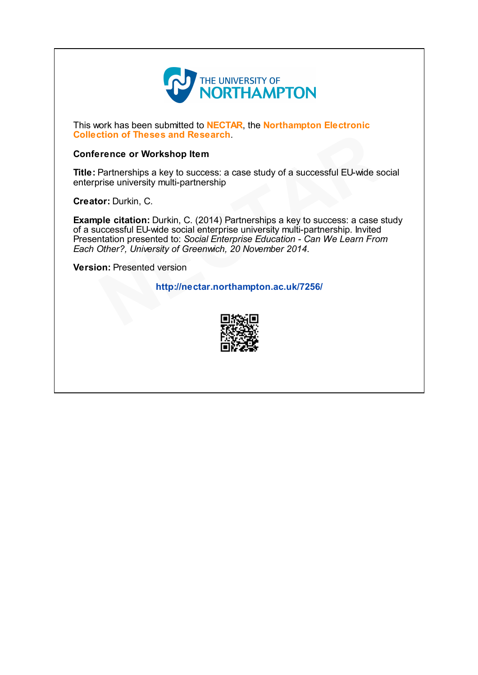

This work has been submitted to **NECTAR**, the **Northampton Electronic** Collection of Theses and Research.

#### Conference or Workshop Item

Title: Partnerships a key to success: a case study of a successful EU-wide social enterprise university multi-partnership

Creator: Durkin, C.

Example citation: Durkin, C. (2014) Partnerships a key to success: a case study of a successful EU-wide social enterprise university multi-partnership. Invited Presentation presented to: Social Enterprise Education - Can We Learn From Each Other?, University of Greenwich, 20 November 2014. **Continuo of Theses and Research.**<br>
Partnerships a key to success: a case study of a successful EU-wide scrise university multi-partnership<br>
or: Durkin, C.<br>
ple citation: Durkin, C. (2014) Partnerships a key to success: a

Version: Presented version

http://nectar.northampton.ac.uk/7256/

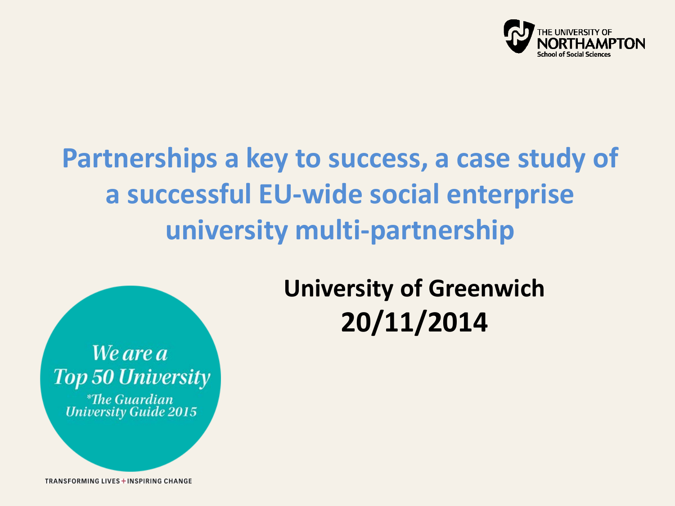

### **Partnerships a key to success, a case study of a successful EU-wide social enterprise university multi-partnership**

### **University of Greenwich 20/11/2014**

We are a **Top 50 University** *\*The Guardian* **University Guide 2015** 

**TRANSFORMING LIVES + INSPIRING CHANGE**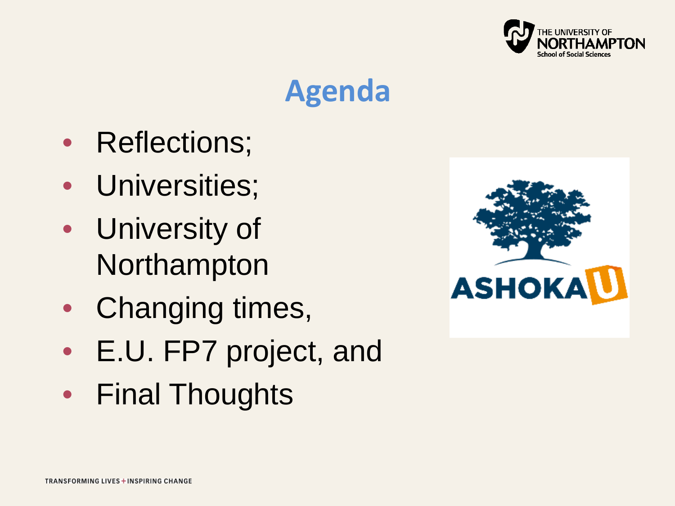

### **Agenda**

- Reflections;
- Universities;
- University of Northampton
- Changing times,
- E.U. FP7 project, and
- Final Thoughts

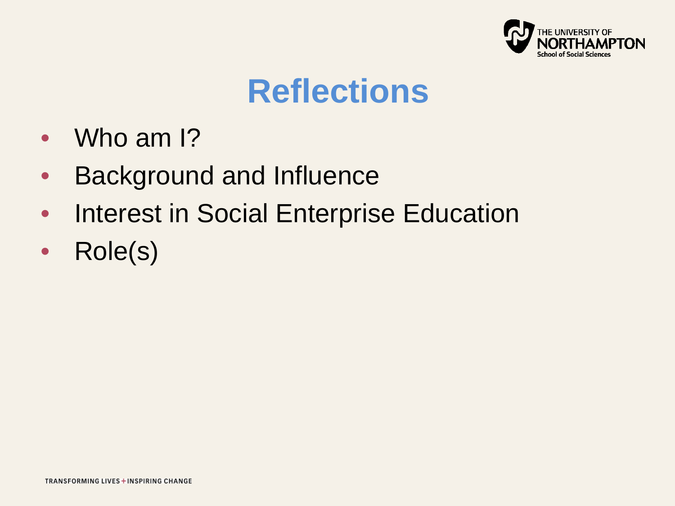

### **Reflections**

- Who am I?
- Background and Influence
- Interest in Social Enterprise Education
- Role(s)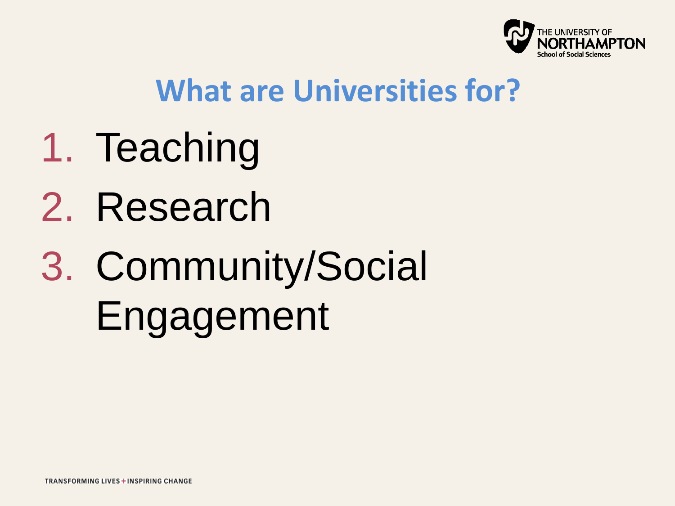

### **What are Universities for?**

- 1. Teaching
- 2. Research
- 3. Community/Social Engagement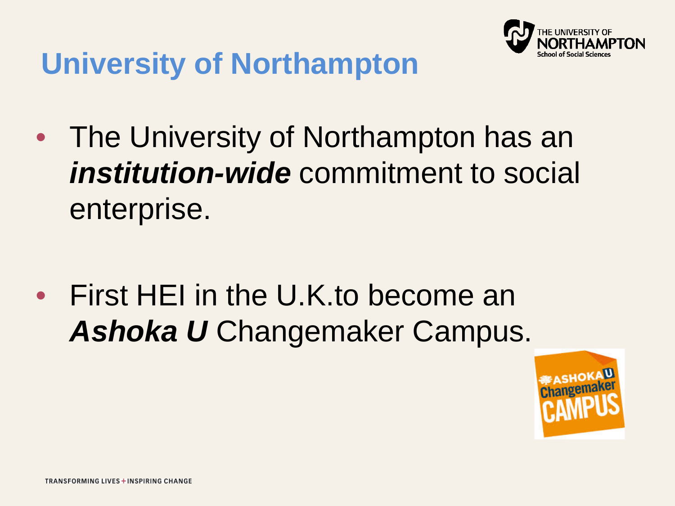

### **University of Northampton**

• The University of Northampton has an *institution-wide* commitment to social enterprise.

• First HEI in the U.K.to become an *Ashoka U* Changemaker Campus.

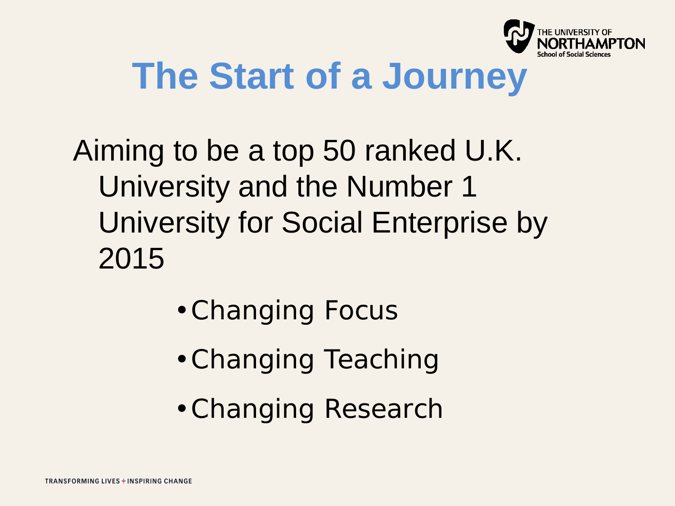

# **The Start of a Journey**

Aiming to be a top 50 ranked U.K. University and the Number 1 University for Social Enterprise by 2015

- •Changing Focus
- •Changing Teaching
- •Changing Research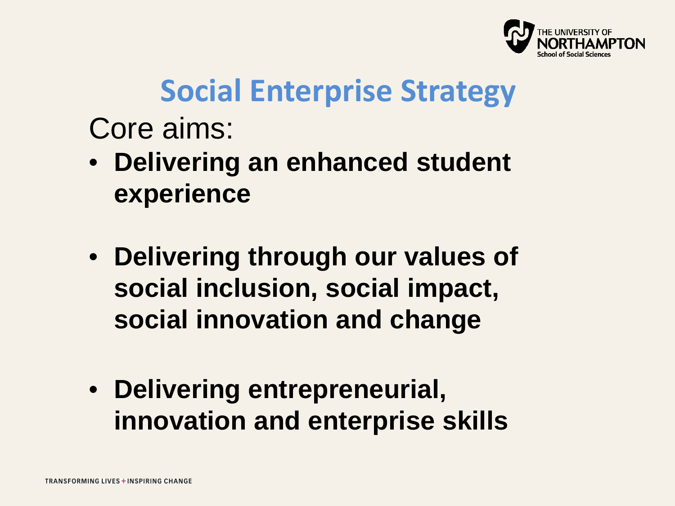

### **Social Enterprise Strategy**

Core aims:

- **Delivering an enhanced student experience**
- **Delivering through our values of social inclusion, social impact, social innovation and change**
- **Delivering entrepreneurial, innovation and enterprise skills**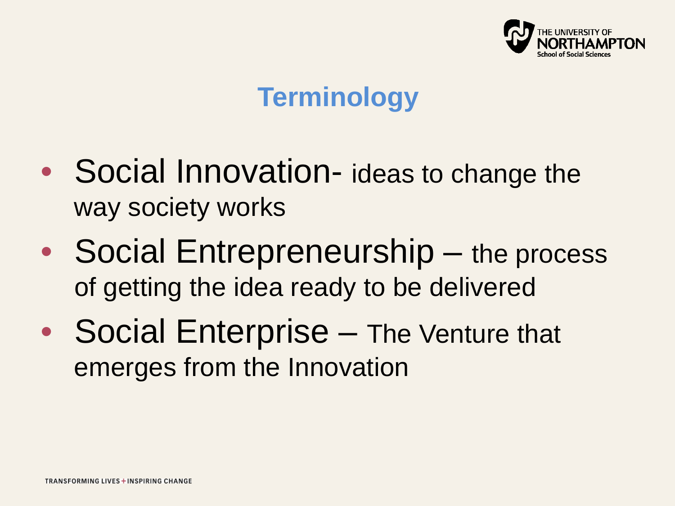

### **Terminology**

- Social Innovation- ideas to change the way society works
- Social Entrepreneurship the process of getting the idea ready to be delivered
- Social Enterprise The Venture that emerges from the Innovation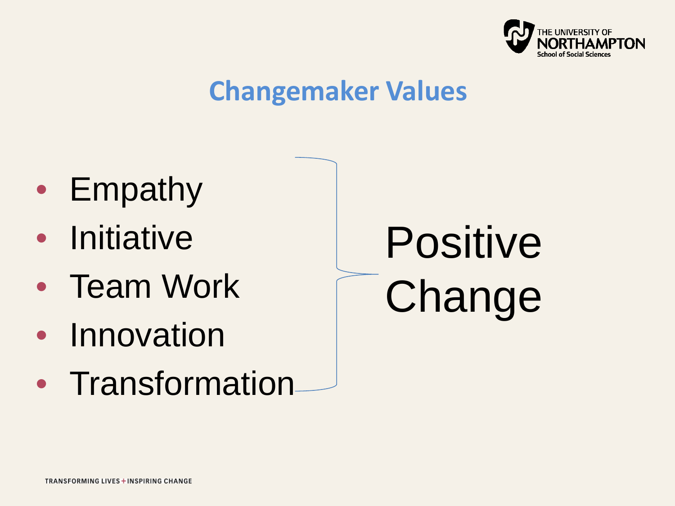

#### **Changemaker Values**

- Empathy
- Initiative
- Team Work
- Innovation
- Transformation

Positive Change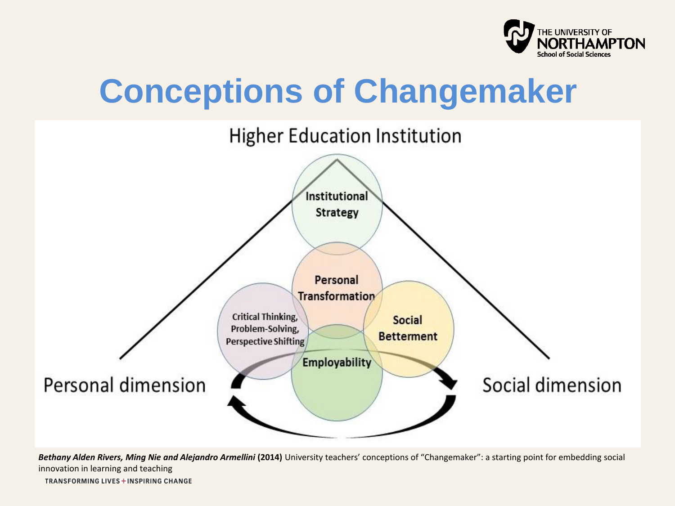

# **Conceptions of Changemaker**



Bethany Alden Rivers, Ming Nie and Alejandro Armellini (2014) University teachers' conceptions of "Changemaker": a starting point for embedding social innovation in learning and teaching

**TRANSFORMING LIVES + INSPIRING CHANGE**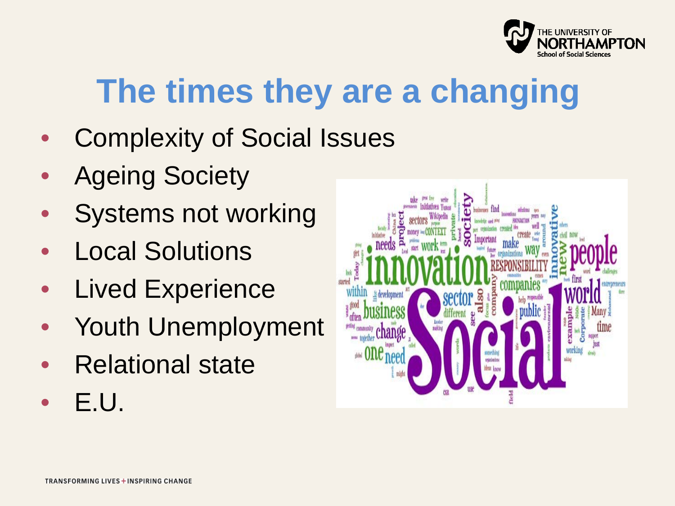

# **The times they are a changing**

- Complexity of Social Issues
- **Ageing Society**
- Systems not working
- **Local Solutions**
- **Lived Experience**
- Youth Unemployment
- Relational state
- E.U.

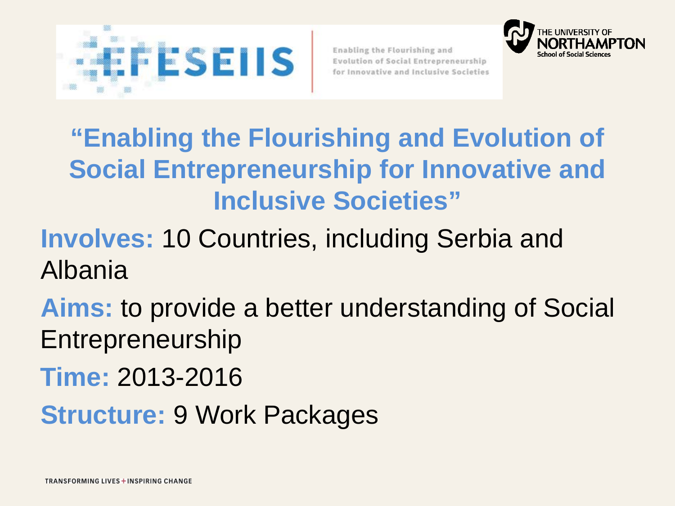



### **"Enabling the Flourishing and Evolution of Social Entrepreneurship for Innovative and Inclusive Societies"**

#### **Involves:** 10 Countries, including Serbia and Albania

**Aims:** to provide a better understanding of Social Entrepreneurship

**Time:** 2013-2016

**Structure: 9 Work Packages**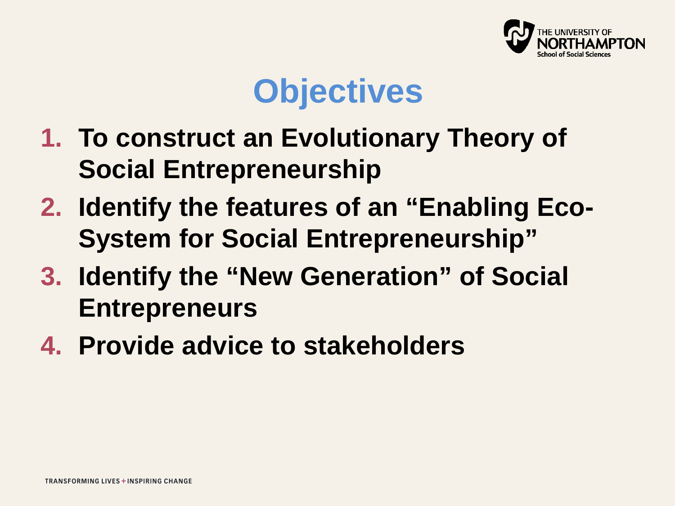

### **Objectives**

- **1. To construct an Evolutionary Theory of Social Entrepreneurship**
- **2. Identify the features of an "Enabling Eco-System for Social Entrepreneurship"**
- **3. Identify the "New Generation" of Social Entrepreneurs**
- **4. Provide advice to stakeholders**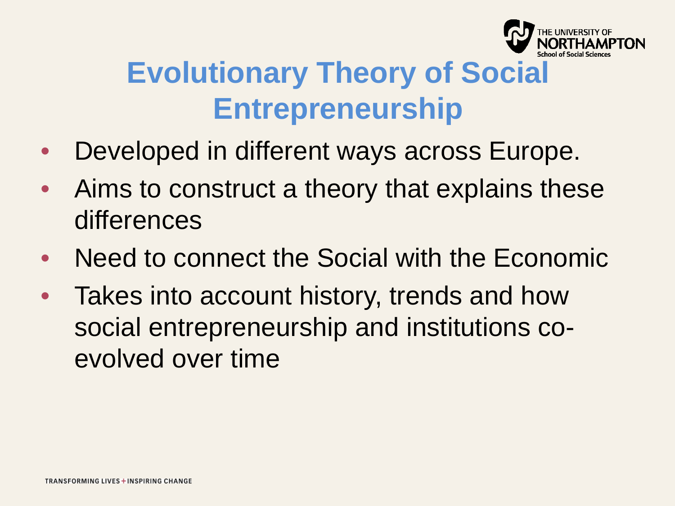

### **Evolutionary Theory of Social Entrepreneurship**

- Developed in different ways across Europe.
- Aims to construct a theory that explains these differences
- Need to connect the Social with the Economic
- Takes into account history, trends and how social entrepreneurship and institutions coevolved over time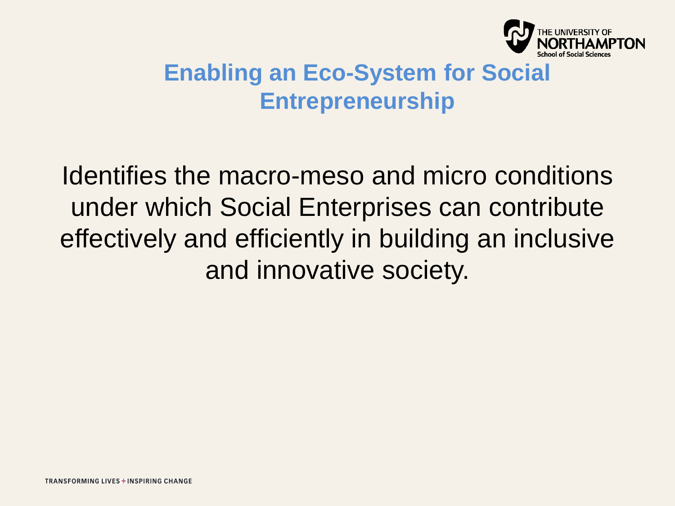

#### **Enabling an Eco-System for Social Entrepreneurship**

Identifies the macro-meso and micro conditions under which Social Enterprises can contribute effectively and efficiently in building an inclusive and innovative society.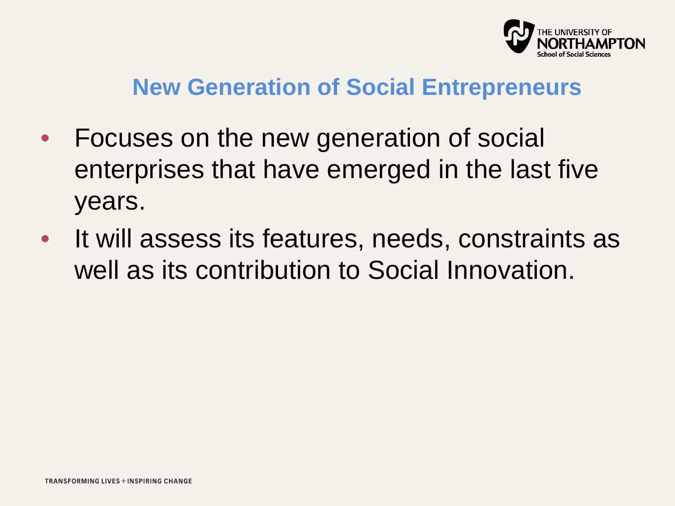

#### **New Generation of Social Entrepreneurs**

- Focuses on the new generation of social enterprises that have emerged in the last five years.
- It will assess its features, needs, constraints as well as its contribution to Social Innovation.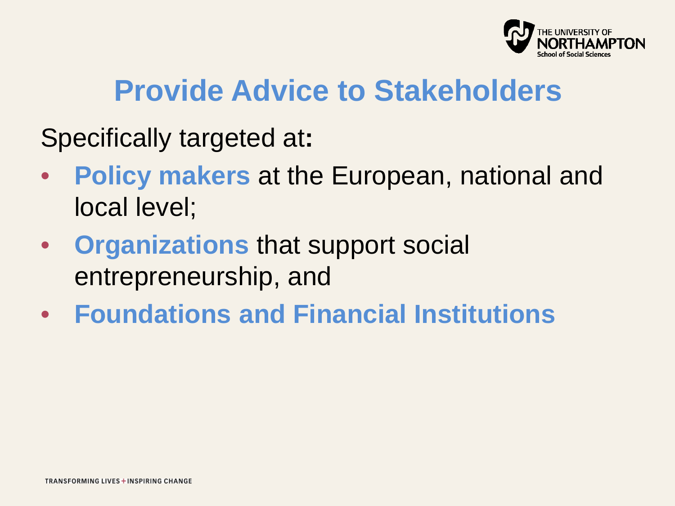

### **Provide Advice to Stakeholders**

Specifically targeted at**:** 

- **Policy makers** at the European, national and local level;
- **Organizations** that support social entrepreneurship, and
- **Foundations and Financial Institutions**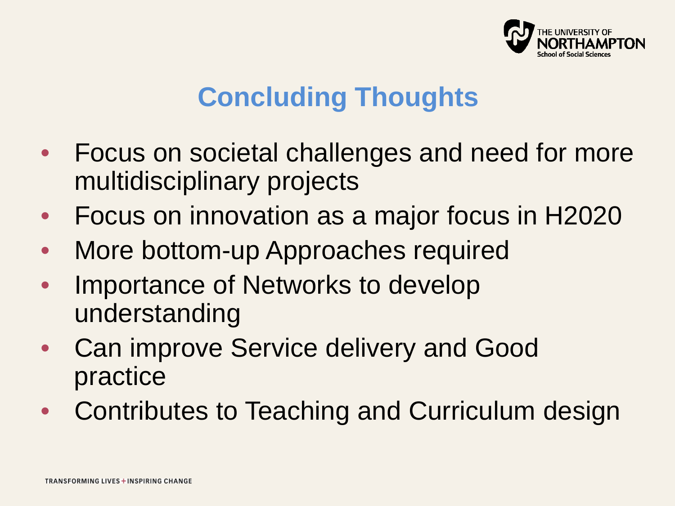

### **Concluding Thoughts**

- Focus on societal challenges and need for more multidisciplinary projects
- Focus on innovation as a major focus in H2020
- More bottom-up Approaches required
- Importance of Networks to develop understanding
- Can improve Service delivery and Good practice
- Contributes to Teaching and Curriculum design